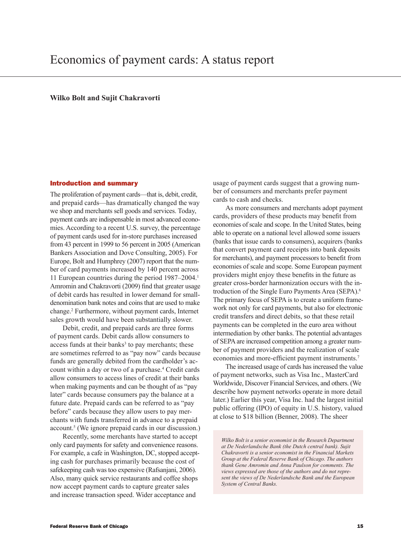# **Wilko Bolt and Sujit Chakravorti**

#### Introduction and summary

The proliferation of payment cards—that is, debit, credit, and prepaid cards—has dramatically changed the way we shop and merchants sell goods and services. Today, payment cards are indispensable in most advanced economies. According to a recent U.S. survey, the percentage of payment cards used for in-store purchases increased from 43 percent in 1999 to 56 percent in 2005 (American Bankers Association and Dove Consulting, 2005). For Europe, Bolt and Humphrey (2007) report that the number of card payments increased by 140 percent across 11 European countries during the period 1987–2004.<sup>1</sup> Amromin and Chakravorti (2009) find that greater usage of debit cards has resulted in lower demand for smalldenomination bank notes and coins that are used to make change.2 Furthermore, without payment cards, Internet sales growth would have been substantially slower.

Debit, credit, and prepaid cards are three forms of payment cards. Debit cards allow consumers to access funds at their banks<sup>3</sup> to pay merchants; these are sometimes referred to as "pay now" cards because funds are generally debited from the cardholder's account within a day or two of a purchase.<sup>4</sup> Credit cards allow consumers to access lines of credit at their banks when making payments and can be thought of as "pay later" cards because consumers pay the balance at a future date. Prepaid cards can be referred to as "pay before" cards because they allow users to pay merchants with funds transferred in advance to a prepaid account.5 (We ignore prepaid cards in our discussion.)

Recently, some merchants have started to accept only card payments for safety and convenience reasons. For example, a cafe in Washington, DC, stopped accepting cash for purchases primarily because the cost of safekeeping cash was too expensive (Rafsanjani, 2006). Also, many quick service restaurants and coffee shops now accept payment cards to capture greater sales and increase transaction speed. Wider acceptance and

usage of payment cards suggest that a growing number of consumers and merchants prefer payment cards to cash and checks.

As more consumers and merchants adopt payment cards, providers of these products may benefit from economies of scale and scope. In the United States, being able to operate on a national level allowed some issuers (banks that issue cards to consumers), acquirers (banks that convert payment card receipts into bank deposits for merchants), and payment processors to benefit from economies of scale and scope. Some European payment providers might enjoy these benefits in the future as greater cross-border harmonization occurs with the introduction of the Single Euro Payments Area (SEPA).6 The primary focus of SEPA is to create a uniform framework not only for card payments, but also for electronic credit transfers and direct debits, so that these retail payments can be completed in the euro area without intermediation by other banks. The potential advantages of SEPA are increased competition among a greater number of payment providers and the realization of scale economies and more-efficient payment instruments.<sup>7</sup>

The increased usage of cards has increased the value of payment networks, such as Visa Inc., MasterCard Worldwide, Discover Financial Services, and others. (We describe how payment networks operate in more detail later.) Earlier this year, Visa Inc. had the largest initial public offering (IPO) of equity in U.S. history, valued at close to \$18 billion (Benner, 2008). The sheer

*Wilko Bolt is a senior economist in the Research Department at De Nederlandsche Bank (the Dutch central bank). Sujit Chakravorti is a senior economist in the Financial Markets Group at the Federal Reserve Bank of Chicago. The authors thank Gene Amromin and Anna Paulson for comments. The views expressed are those of the authors and do not represent the views of De Nederlandsche Bank and the European System of Central Banks.*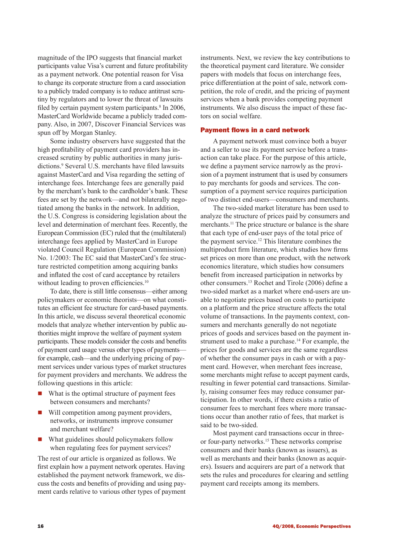magnitude of the IPO suggests that financial market participants value Visa's current and future profitability as a payment network. One potential reason for Visa to change its corporate structure from a card association to a publicly traded company is to reduce antitrust scrutiny by regulators and to lower the threat of lawsuits filed by certain payment system participants.<sup>8</sup> In 2006, MasterCard Worldwide became a publicly traded company. Also, in 2007, Discover Financial Services was spun off by Morgan Stanley.

Some industry observers have suggested that the high profitability of payment card providers has increased scrutiny by public authorities in many jurisdictions.9 Several U.S. merchants have filed lawsuits against MasterCard and Visa regarding the setting of interchange fees. Interchange fees are generally paid by the merchant's bank to the cardholder's bank. These fees are set by the network—and not bilaterally negotiated among the banks in the network. In addition, the U.S. Congress is considering legislation about the level and determination of merchant fees. Recently, the European Commission (EC) ruled that the (multilateral) interchange fees applied by MasterCard in Europe violated Council Regulation (European Commission) No. 1/2003: The EC said that MasterCard's fee structure restricted competition among acquiring banks and inflated the cost of card acceptance by retailers without leading to proven efficiencies.<sup>10</sup>

To date, there is still little consensus—either among policymakers or economic theorists—on what constitutes an efficient fee structure for card-based payments. In this article, we discuss several theoretical economic models that analyze whether intervention by public authorities might improve the welfare of payment system participants. These models consider the costs and benefits of payment card usage versus other types of payments for example, cash—and the underlying pricing of payment services under various types of market structures for payment providers and merchants. We address the following questions in this article:

- $\blacksquare$  What is the optimal structure of payment fees between consumers and merchants?
- $\blacksquare$  Will competition among payment providers, networks, or instruments improve consumer and merchant welfare?
- $\blacksquare$  What guidelines should policymakers follow when regulating fees for payment services?

The rest of our article is organized as follows. We first explain how a payment network operates. Having established the payment network framework, we discuss the costs and benefits of providing and using payment cards relative to various other types of payment

instruments. Next, we review the key contributions to the theoretical payment card literature. We consider papers with models that focus on interchange fees, price differentiation at the point of sale, network competition, the role of credit, and the pricing of payment services when a bank provides competing payment instruments. We also discuss the impact of these factors on social welfare.

# Payment flows in a card network

A payment network must convince both a buyer and a seller to use its payment service before a transaction can take place. For the purpose of this article, we define a payment service narrowly as the provision of a payment instrument that is used by consumers to pay merchants for goods and services. The consumption of a payment service requires participation of two distinct end-users—consumers and merchants.

The two-sided market literature has been used to analyze the structure of prices paid by consumers and merchants.<sup>11</sup> The price structure or balance is the share that each type of end-user pays of the total price of the payment service.12 This literature combines the multiproduct firm literature, which studies how firms set prices on more than one product, with the network economics literature, which studies how consumers benefit from increased participation in networks by other consumers.13 Rochet and Tirole (2006) define a two-sided market as a market where end-users are unable to negotiate prices based on costs to participate on a platform and the price structure affects the total volume of transactions. In the payments context, consumers and merchants generally do not negotiate prices of goods and services based on the payment instrument used to make a purchase.<sup>14</sup> For example, the prices for goods and services are the same regardless of whether the consumer pays in cash or with a payment card. However, when merchant fees increase, some merchants might refuse to accept payment cards, resulting in fewer potential card transactions. Similarly, raising consumer fees may reduce consumer participation. In other words, if there exists a ratio of consumer fees to merchant fees where more transactions occur than another ratio of fees, that market is said to be two-sided.

Most payment card transactions occur in threeor four-party networks.15 These networks comprise consumers and their banks (known as issuers), as well as merchants and their banks (known as acquirers). Issuers and acquirers are part of a network that sets the rules and procedures for clearing and settling payment card receipts among its members.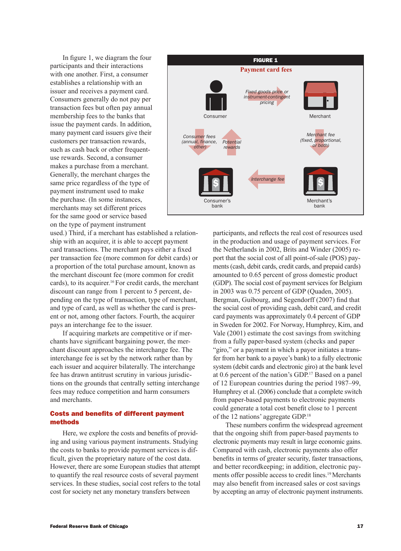In figure 1, we diagram the four participants and their interactions with one another. First, a consumer establishes a relationship with an issuer and receives a payment card. Consumers generally do not pay per transaction fees but often pay annual membership fees to the banks that issue the payment cards. In addition, many payment card issuers give their customers per transaction rewards, such as cash back or other frequentuse rewards. Second, a consumer makes a purchase from a merchant. Generally, the merchant charges the same price regardless of the type of payment instrument used to make the purchase. (In some instances, merchants may set different prices for the same good or service based on the type of payment instrument



used.) Third, if a merchant has established a relationship with an acquirer, it is able to accept payment card transactions. The merchant pays either a fixed per transaction fee (more common for debit cards) or a proportion of the total purchase amount, known as the merchant discount fee (more common for credit cards), to its acquirer.<sup>16</sup> For credit cards, the merchant discount can range from 1 percent to 5 percent, depending on the type of transaction, type of merchant, and type of card, as well as whether the card is present or not, among other factors. Fourth, the acquirer pays an interchange fee to the issuer.

If acquiring markets are competitive or if merchants have significant bargaining power, the merchant discount approaches the interchange fee. The interchange fee is set by the network rather than by each issuer and acquirer bilaterally. The interchange fee has drawn antitrust scrutiny in various jurisdictions on the grounds that centrally setting interchange fees may reduce competition and harm consumers and merchants.

# Costs and benefits of different payment methods

Here, we explore the costs and benefits of providing and using various payment instruments. Studying the costs to banks to provide payment services is difficult, given the proprietary nature of the cost data. However, there are some European studies that attempt to quantify the real resource costs of several payment services. In these studies, social cost refers to the total cost for society net any monetary transfers between

participants, and reflects the real cost of resources used in the production and usage of payment services. For the Netherlands in 2002, Brits and Winder (2005) report that the social cost of all point-of-sale (POS) payments (cash, debit cards, credit cards, and prepaid cards) amounted to 0.65 percent of gross domestic product (GDP). The social cost of payment services for Belgium in 2003 was 0.75 percent of GDP (Quaden, 2005). Bergman, Guibourg, and Segendorff (2007) find that the social cost of providing cash, debit card, and credit card payments was approximately 0.4 percent of GDP in Sweden for 2002. For Norway, Humphrey, Kim, and Vale (2001) estimate the cost savings from switching from a fully paper-based system (checks and paper "giro," or a payment in which a payor initiates a transfer from her bank to a payee's bank) to a fully electronic system (debit cards and electronic giro) at the bank level at 0.6 percent of the nation's GDP.17 Based on a panel of 12 European countries during the period 1987–99, Humphrey et al. (2006) conclude that a complete switch from paper-based payments to electronic payments could generate a total cost benefit close to 1 percent of the 12 nations' aggregate GDP.18

These numbers confirm the widespread agreement that the ongoing shift from paper-based payments to electronic payments may result in large economic gains. Compared with cash, electronic payments also offer benefits in terms of greater security, faster transactions, and better recordkeeping; in addition, electronic payments offer possible access to credit lines.<sup>19</sup> Merchants may also benefit from increased sales or cost savings by accepting an array of electronic payment instruments.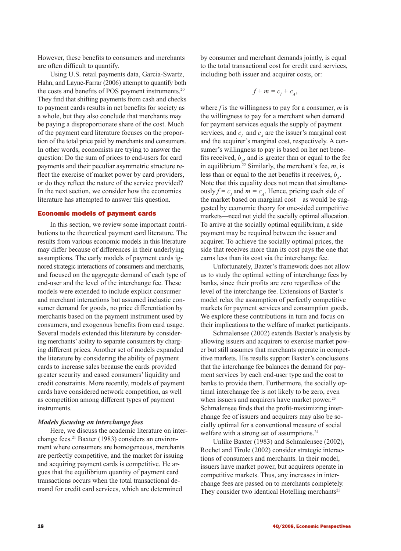However, these benefits to consumers and merchants are often difficult to quantify.

Using U.S. retail payments data, Garcia-Swartz, Hahn, and Layne-Farrar (2006) attempt to quantify both the costs and benefits of POS payment instruments.<sup>20</sup> They find that shifting payments from cash and checks to payment cards results in net benefits for society as a whole, but they also conclude that merchants may be paying a disproportionate share of the cost. Much of the payment card literature focuses on the proportion of the total price paid by merchants and consumers. In other words, economists are trying to answer the question: Do the sum of prices to end-users for card payments and their peculiar asymmetric structure reflect the exercise of market power by card providers, or do they reflect the nature of the service provided? In the next section, we consider how the economics literature has attempted to answer this question.

## Economic models of payment cards

In this section, we review some important contributions to the theoretical payment card literature. The results from various economic models in this literature may differ because of differences in their underlying assumptions. The early models of payment cards ignored strategic interactions of consumers and merchants, and focused on the aggregate demand of each type of end-user and the level of the interchange fee. These models were extended to include explicit consumer and merchant interactions but assumed inelastic consumer demand for goods, no price differentiation by merchants based on the payment instrument used by consumers, and exogenous benefits from card usage. Several models extended this literature by considering merchants' ability to separate consumers by charging different prices. Another set of models expanded the literature by considering the ability of payment cards to increase sales because the cards provided greater security and eased consumers' liquidity and credit constraints. More recently, models of payment cards have considered network competition, as well as competition among different types of payment instruments.

## *Models focusing on interchange fees*

Here, we discuss the academic literature on interchange fees.<sup>21</sup> Baxter (1983) considers an environment where consumers are homogeneous, merchants are perfectly competitive, and the market for issuing and acquiring payment cards is competitive. He argues that the equilibrium quantity of payment card transactions occurs when the total transactional demand for credit card services, which are determined

by consumer and merchant demands jointly, is equal to the total transactional cost for credit card services, including both issuer and acquirer costs, or:

$$
f+m=c_I+c_A,
$$

where *f* is the willingness to pay for a consumer, *m* is the willingness to pay for a merchant when demand for payment services equals the supply of payment services, and  $c_I$  and  $c_A$  are the issuer's marginal cost and the acquirer's marginal cost, respectively. A consumer's willingness to pay is based on her net benefits received,  $b<sub>p</sub>$ , and is greater than or equal to the fee in equilibrium.<sup>22</sup> Similarly, the merchant's fee,  $m$ , is less than or equal to the net benefits it receives,  $b_s$ . Note that this equality does not mean that simultaneously  $f = c_I$  and  $m = c_A$ . Hence, pricing each side of the market based on marginal cost—as would be suggested by economic theory for one-sided competitive markets—need not yield the socially optimal allocation. To arrive at the socially optimal equilibrium, a side payment may be required between the issuer and acquirer. To achieve the socially optimal prices, the side that receives more than its cost pays the one that earns less than its cost via the interchange fee.

Unfortunately, Baxter's framework does not allow us to study the optimal setting of interchange fees by banks, since their profits are zero regardless of the level of the interchange fee. Extensions of Baxter's model relax the assumption of perfectly competitive markets for payment services and consumption goods. We explore these contributions in turn and focus on their implications to the welfare of market participants.

Schmalensee (2002) extends Baxter's analysis by allowing issuers and acquirers to exercise market power but still assumes that merchants operate in competitive markets. His results support Baxter's conclusions that the interchange fee balances the demand for payment services by each end-user type and the cost to banks to provide them. Furthermore, the socially optimal interchange fee is not likely to be zero, even when issuers and acquirers have market power.<sup>23</sup> Schmalensee finds that the profit-maximizing interchange fee of issuers and acquirers may also be socially optimal for a conventional measure of social welfare with a strong set of assumptions.<sup>24</sup>

Unlike Baxter (1983) and Schmalensee (2002), Rochet and Tirole (2002) consider strategic interactions of consumers and merchants. In their model, issuers have market power, but acquirers operate in competitive markets. Thus, any increases in interchange fees are passed on to merchants completely. They consider two identical Hotelling merchants<sup>25</sup>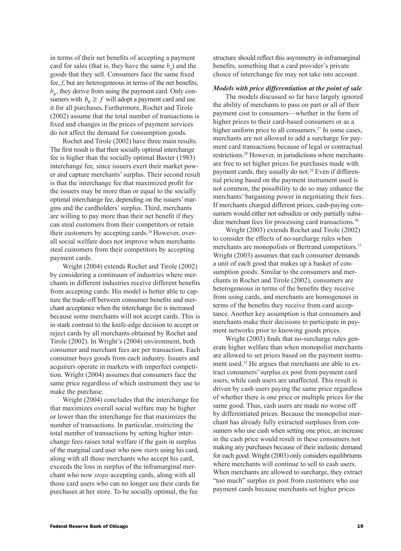in terms of their net benefits of accepting a payment card for sales (that is, they have the same  $b<sub>S</sub>$ ) and the goods that they sell. Consumers face the same fixed fee, *f*, but are heterogeneous in terms of the net benefits,  $b<sub>B</sub>$ , they derive from using the payment card. Only consumers with  $b_B \geq f$  will adopt a payment card and use it for all purchases. Furthermore, Rochet and Tirole (2002) assume that the total number of transactions is fixed and changes in the prices of payment services do not affect the demand for consumption goods.

Rochet and Tirole (2002) have three main results. The first result is that their socially optimal interchange fee is higher than the socially optimal Baxter (1983) interchange fee, since issuers exert their market power and capture merchants' surplus. Their second result is that the interchange fee that maximized profit for the issuers may be more than or equal to the socially optimal interchange fee, depending on the issuers' margins and the cardholders' surplus. Third, merchants are willing to pay more than their net benefit if they can steal customers from their competitors or retain their customers by accepting cards.<sup>26</sup> However, overall social welfare does not improve when merchants steal customers from their competitors by accepting payment cards.

Wright (2004) extends Rochet and Tirole (2002) by considering a continuum of industries where merchants in different industries receive different benefits from accepting cards. His model is better able to capture the trade-off between consumer benefits and merchant acceptance when the interchange fee is increased because some merchants will not accept cards. This is in stark contrast to the knife-edge decision to accept or reject cards by all merchants obtained by Rochet and Tirole (2002). In Wright's (2004) environment, both consumer and merchant fees are per transaction. Each consumer buys goods from each industry. Issuers and acquirers operate in markets with imperfect competition. Wright (2004) assumes that consumers face the same price regardless of which instrument they use to make the purchase.

Wright (2004) concludes that the interchange fee that maximizes overall social welfare may be higher or lower than the interchange fee that maximizes the number of transactions. In particular, restricting the total number of transactions by setting higher interchange fees raises total welfare if the gain in surplus of the marginal card user who now *starts* using his card, along with all those merchants who accept his card, exceeds the loss in surplus of the inframarginal merchant who now *stops* accepting cards, along with all those card users who can no longer use their cards for purchases at her store. To be socially optimal, the fee

structure should reflect this asymmetry in inframarginal benefits, something that a card provider's private choice of interchange fee may not take into account.

#### *Models with price differentiation at the point of sale*

The models discussed so far have largely ignored the ability of merchants to pass on part or all of their payment cost to consumers—whether in the form of higher prices to their card-based consumers or as a higher uniform price to all consumers.<sup>27</sup> In some cases, merchants are not allowed to add a surcharge for payment card transactions because of legal or contractual restrictions.28 However, in jurisdictions where merchants are free to set higher prices for purchases made with payment cards, they usually do not.<sup>29</sup> Even if differential pricing based on the payment instrument used is not common, the possibility to do so may enhance the merchants' bargaining power in negotiating their fees. If merchants charged different prices, cash-paying consumers would either not subsidize or only partially subsidize merchant fees for processing card transactions.<sup>30</sup>

Wright (2003) extends Rochet and Tirole (2002) to consider the effects of no-surcharge rules when merchants are monopolists or Bertrand competitors.<sup>31</sup> Wright (2003) assumes that each consumer demands a unit of each good that makes up a basket of consumption goods. Similar to the consumers and merchants in Rochet and Tirole (2002), consumers are heterogeneous in terms of the benefits they receive from using cards, and merchants are homogenous in terms of the benefits they receive from card acceptance. Another key assumption is that consumers and merchants make their decisions to participate in payment networks prior to knowing goods prices.

Wright (2003) finds that no-surcharge rules generate higher welfare than when monopolist merchants are allowed to set prices based on the payment instrument used.32 He argues that merchants are able to extract consumers' surplus ex post from payment card users, while cash users are unaffected. This result is driven by cash users paying the same price regardless of whether there is one price or multiple prices for the same good. Thus, cash users are made no worse off by differentiated prices. Because the monopolist merchant has already fully extracted surpluses from consumers who use cash when setting one price, an increase in the cash price would result in these consumers not making any purchases because of their inelastic demand for each good. Wright (2003) only considers equilibriums where merchants will continue to sell to cash users. When merchants are allowed to surcharge, they extract "too much" surplus ex post from customers who use payment cards because merchants set higher prices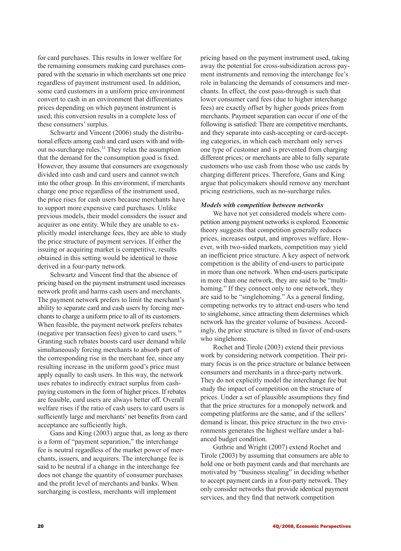for card purchases. This results in lower welfare for the remaining consumers making card purchases compared with the scenario in which merchants set one price regardless of payment instrument used. In addition, some card customers in a uniform price environment convert to cash in an environment that differentiates prices depending on which payment instrument is used; this conversion results in a complete loss of these consumers' surplus.

Schwartz and Vincent (2006) study the distributional effects among cash and card users with and without no-surcharge rules.<sup>33</sup> They relax the assumption that the demand for the consumption good is fixed. However, they assume that consumers are exogenously divided into cash and card users and cannot switch into the other group. In this environment, if merchants charge one price regardless of the instrument used, the price rises for cash users because merchants have to support more expensive card purchases. Unlike previous models, their model considers the issuer and acquirer as one entity. While they are unable to explicitly model interchange fees, they are able to study the price structure of payment services. If either the issuing or acquiring market is competitive, results obtained in this setting would be identical to those derived in a four-party network.

Schwartz and Vincent find that the absence of pricing based on the payment instrument used increases network profit and harms cash users and merchants. The payment network prefers to limit the merchant's ability to separate card and cash users by forcing merchants to charge a uniform price to all of its customers. When feasible, the payment network prefers rebates (negative per transaction fees) given to card users.34 Granting such rebates boosts card user demand while simultaneously forcing merchants to absorb part of the corresponding rise in the merchant fee, since any resulting increase in the uniform good's price must apply equally to cash users. In this way, the network uses rebates to indirectly extract surplus from cashpaying customers in the form of higher prices. If rebates are feasible, card users are always better off. Overall welfare rises if the ratio of cash users to card users is sufficiently large and merchants' net benefits from card acceptance are sufficiently high.

Gans and King (2003) argue that, as long as there is a form of "payment separation," the interchange fee is neutral regardless of the market power of merchants, issuers, and acquirers. The interchange fee is said to be neutral if a change in the interchange fee does not change the quantity of consumer purchases and the profit level of merchants and banks. When surcharging is costless, merchants will implement

pricing based on the payment instrument used, taking away the potential for cross-subsidization across payment instruments and removing the interchange fee's role in balancing the demands of consumers and merchants. In effect, the cost pass-through is such that lower consumer card fees (due to higher interchange fees) are exactly offset by higher goods prices from merchants. Payment separation can occur if one of the following is satisfied: There are competitive merchants, and they separate into cash-accepting or card-accepting categories, in which each merchant only serves one type of customer and is prevented from charging different prices; or merchants are able to fully separate customers who use cash from those who use cards by charging different prices. Therefore, Gans and King argue that policymakers should remove any merchant pricing restrictions, such as no-surcharge rules.

### *Models with competition between networks*

We have not yet considered models where competition among payment networks is explored. Economic theory suggests that competition generally reduces prices, increases output, and improves welfare. However, with two-sided markets, competition may yield an inefficient price structure. A key aspect of network competition is the ability of end-users to participate in more than one network. When end-users participate in more than one network, they are said to be "multihoming." If they connect only to one network, they are said to be "singlehoming." As a general finding, competing networks try to attract end-users who tend to singlehome, since attracting them determines which network has the greater volume of business. Accordingly, the price structure is tilted in favor of end-users who singlehome.

Rochet and Tirole (2003) extend their previous work by considering network competition. Their primary focus is on the price structure or balance between consumers and merchants in a three-party network. They do not explicitly model the interchange fee but study the impact of competition on the structure of prices. Under a set of plausible assumptions they find that the price structures for a monopoly network and competing platforms are the same, and if the sellers' demand is linear, this price structure in the two environments generates the highest welfare under a balanced budget condition.

Guthrie and Wright (2007) extend Rochet and Tirole (2003) by assuming that consumers are able to hold one or both payment cards and that merchants are motivated by "business stealing" in deciding whether to accept payment cards in a four-party network. They only consider networks that provide identical payment services, and they find that network competition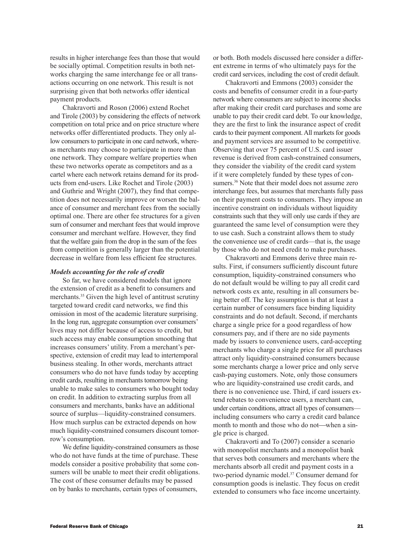results in higher interchange fees than those that would be socially optimal. Competition results in both networks charging the same interchange fee or all transactions occurring on one network. This result is not surprising given that both networks offer identical payment products.

Chakravorti and Roson (2006) extend Rochet and Tirole (2003) by considering the effects of network competition on total price and on price structure where networks offer differentiated products. They only allow consumers to participate in one card network, whereas merchants may choose to participate in more than one network. They compare welfare properties when these two networks operate as competitors and as a cartel where each network retains demand for its products from end-users. Like Rochet and Tirole (2003) and Guthrie and Wright (2007), they find that competition does not necessarily improve or worsen the balance of consumer and merchant fees from the socially optimal one. There are other fee structures for a given sum of consumer and merchant fees that would improve consumer and merchant welfare. However, they find that the welfare gain from the drop in the sum of the fees from competition is generally larger than the potential decrease in welfare from less efficient fee structures.

### *Models accounting for the role of credit*

So far, we have considered models that ignore the extension of credit as a benefit to consumers and merchants.<sup>35</sup> Given the high level of antitrust scrutiny targeted toward credit card networks, we find this omission in most of the academic literature surprising. In the long run, aggregate consumption over consumers' lives may not differ because of access to credit, but such access may enable consumption smoothing that increases consumers' utility. From a merchant's perspective, extension of credit may lead to intertemporal business stealing. In other words, merchants attract consumers who do not have funds today by accepting credit cards, resulting in merchants tomorrow being unable to make sales to consumers who bought today on credit. In addition to extracting surplus from all consumers and merchants, banks have an additional source of surplus—liquidity-constrained consumers. How much surplus can be extracted depends on how much liquidity-constrained consumers discount tomorrow's consumption.

We define liquidity-constrained consumers as those who do not have funds at the time of purchase. These models consider a positive probability that some consumers will be unable to meet their credit obligations. The cost of these consumer defaults may be passed on by banks to merchants, certain types of consumers,

or both. Both models discussed here consider a different extreme in terms of who ultimately pays for the credit card services, including the cost of credit default.

Chakravorti and Emmons (2003) consider the costs and benefits of consumer credit in a four-party network where consumers are subject to income shocks after making their credit card purchases and some are unable to pay their credit card debt. To our knowledge, they are the first to link the insurance aspect of credit cards to their payment component. All markets for goods and payment services are assumed to be competitive. Observing that over 75 percent of U.S. card issuer revenue is derived from cash-constrained consumers, they consider the viability of the credit card system if it were completely funded by these types of consumers.<sup>36</sup> Note that their model does not assume zero interchange fees, but assumes that merchants fully pass on their payment costs to consumers. They impose an incentive constraint on individuals without liquidity constraints such that they will only use cards if they are guaranteed the same level of consumption were they to use cash. Such a constraint allows them to study the convenience use of credit cards—that is, the usage by those who do not need credit to make purchases.

Chakravorti and Emmons derive three main results. First, if consumers sufficiently discount future consumption, liquidity-constrained consumers who do not default would be willing to pay all credit card network costs ex ante, resulting in all consumers being better off. The key assumption is that at least a certain number of consumers face binding liquidity constraints and do not default. Second, if merchants charge a single price for a good regardless of how consumers pay, and if there are no side payments made by issuers to convenience users, card-accepting merchants who charge a single price for all purchases attract only liquidity-constrained consumers because some merchants charge a lower price and only serve cash-paying customers. Note, only those consumers who are liquidity-constrained use credit cards, and there is no convenience use. Third, if card issuers extend rebates to convenience users, a merchant can, under certain conditions, attract all types of consumers including consumers who carry a credit card balance month to month and those who do not-when a single price is charged.

Chakravorti and To (2007) consider a scenario with monopolist merchants and a monopolist bank that serves both consumers and merchants where the merchants absorb all credit and payment costs in a two-period dynamic model.37 Consumer demand for consumption goods is inelastic. They focus on credit extended to consumers who face income uncertainty.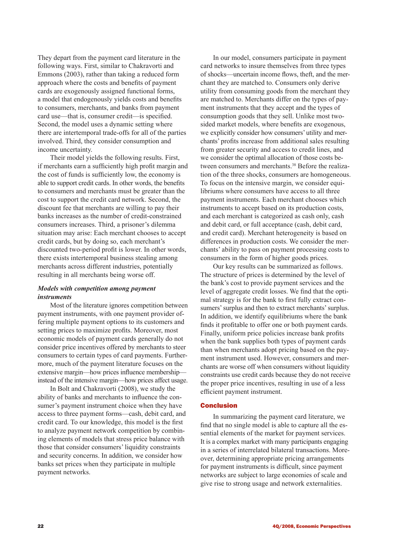They depart from the payment card literature in the following ways. First, similar to Chakravorti and Emmons (2003), rather than taking a reduced form approach where the costs and benefits of payment cards are exogenously assigned functional forms, a model that endogenously yields costs and benefits to consumers, merchants, and banks from payment card use—that is, consumer credit—is specified. Second, the model uses a dynamic setting where there are intertemporal trade-offs for all of the parties involved. Third, they consider consumption and income uncertainty.

Their model yields the following results. First, if merchants earn a sufficiently high profit margin and the cost of funds is sufficiently low, the economy is able to support credit cards. In other words, the benefits to consumers and merchants must be greater than the cost to support the credit card network. Second, the discount fee that merchants are willing to pay their banks increases as the number of credit-constrained consumers increases. Third, a prisoner's dilemma situation may arise: Each merchant chooses to accept credit cards, but by doing so, each merchant's discounted two-period profit is lower. In other words, there exists intertemporal business stealing among merchants across different industries, potentially resulting in all merchants being worse off.

## *Models with competition among payment instruments*

Most of the literature ignores competition between payment instruments, with one payment provider offering multiple payment options to its customers and setting prices to maximize profits. Moreover, most economic models of payment cards generally do not consider price incentives offered by merchants to steer consumers to certain types of card payments. Furthermore, much of the payment literature focuses on the extensive margin—how prices influence membership instead of the intensive margin—how prices affect usage.

In Bolt and Chakravorti (2008), we study the ability of banks and merchants to influence the consumer's payment instrument choice when they have access to three payment forms—cash, debit card, and credit card. To our knowledge, this model is the first to analyze payment network competition by combining elements of models that stress price balance with those that consider consumers' liquidity constraints and security concerns. In addition, we consider how banks set prices when they participate in multiple payment networks.

In our model, consumers participate in payment card networks to insure themselves from three types of shocks—uncertain income flows, theft, and the merchant they are matched to. Consumers only derive utility from consuming goods from the merchant they are matched to. Merchants differ on the types of payment instruments that they accept and the types of consumption goods that they sell. Unlike most twosided market models, where benefits are exogenous, we explicitly consider how consumers' utility and merchants' profits increase from additional sales resulting from greater security and access to credit lines, and we consider the optimal allocation of those costs between consumers and merchants.<sup>38</sup> Before the realization of the three shocks, consumers are homogeneous. To focus on the intensive margin, we consider equilibriums where consumers have access to all three payment instruments. Each merchant chooses which instruments to accept based on its production costs, and each merchant is categorized as cash only, cash and debit card, or full acceptance (cash, debit card, and credit card). Merchant heterogeneity is based on differences in production costs. We consider the merchants' ability to pass on payment processing costs to consumers in the form of higher goods prices.

Our key results can be summarized as follows. The structure of prices is determined by the level of the bank's cost to provide payment services and the level of aggregate credit losses. We find that the optimal strategy is for the bank to first fully extract consumers' surplus and then to extract merchants' surplus. In addition, we identify equilibriums where the bank finds it profitable to offer one or both payment cards. Finally, uniform price policies increase bank profits when the bank supplies both types of payment cards than when merchants adopt pricing based on the payment instrument used. However, consumers and merchants are worse off when consumers without liquidity constraints use credit cards because they do not receive the proper price incentives, resulting in use of a less efficient payment instrument.

### Conclusion

In summarizing the payment card literature, we find that no single model is able to capture all the essential elements of the market for payment services. It is a complex market with many participants engaging in a series of interrelated bilateral transactions. Moreover, determining appropriate pricing arrangements for payment instruments is difficult, since payment networks are subject to large economies of scale and give rise to strong usage and network externalities.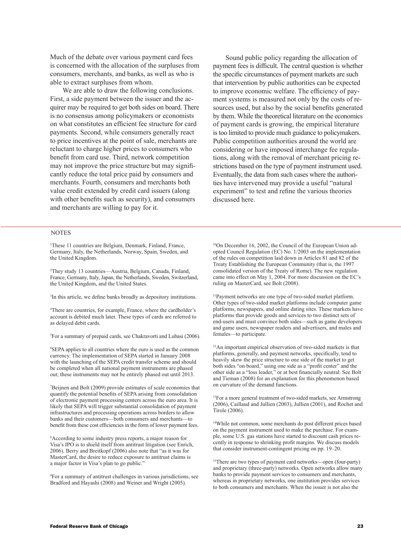Much of the debate over various payment card fees is concerned with the allocation of the surpluses from consumers, merchants, and banks, as well as who is able to extract surpluses from whom.

We are able to draw the following conclusions. First, a side payment between the issuer and the acquirer may be required to get both sides on board. There is no consensus among policymakers or economists on what constitutes an efficient fee structure for card payments. Second, while consumers generally react to price incentives at the point of sale, merchants are reluctant to charge higher prices to consumers who benefit from card use. Third, network competition may not improve the price structure but may significantly reduce the total price paid by consumers and merchants. Fourth, consumers and merchants both value credit extended by credit card issuers (along with other benefits such as security), and consumers and merchants are willing to pay for it.

Sound public policy regarding the allocation of payment fees is difficult. The central question is whether the specific circumstances of payment markets are such that intervention by public authorities can be expected to improve economic welfare. The efficiency of payment systems is measured not only by the costs of resources used, but also by the social benefits generated by them. While the theoretical literature on the economics of payment cards is growing, the empirical literature is too limited to provide much guidance to policymakers. Public competition authorities around the world are considering or have imposed interchange fee regulations, along with the removal of merchant pricing restrictions based on the type of payment instrument used. Eventually, the data from such cases where the authorities have intervened may provide a useful "natural experiment" to test and refine the various theories discussed here.

#### **NOTES**

1 These 11 countries are Belgium, Denmark, Finland, France, Germany, Italy, the Netherlands, Norway, Spain, Sweden, and the United Kingdom.

2 They study 13 countries—Austria, Belgium, Canada, Finland, France, Germany, Italy, Japan, the Netherlands, Sweden, Switzerland, the United Kingdom, and the United States.

3 In this article, we define banks broadly as depository institutions.

4 There are countries, for example, France, where the cardholder's account is debited much later. These types of cards are referred to as delayed debit cards.

5 For a summary of prepaid cards, see Chakravorti and Lubasi (2006).

6 SEPA applies to all countries where the euro is used as the common currency. The implementation of SEPA started in January 2008 with the launching of the SEPA credit transfer scheme and should be completed when all national payment instruments are phased out; these instruments may not be entirely phased out until 2013.

7 Beijnen and Bolt (2009) provide estimates of scale economies that quantify the potential benefits of SEPA arising from consolidation of electronic payment processing centers across the euro area. It is likely that SEPA will trigger substantial consolidation of payment infrastructures and processing operations across borders to allow banks and their customers—both consumers and merchants—to benefit from these cost efficiencies in the form of lower payment fees.

8 According to some industry press reports, a major reason for Visa's IPO is to shield itself from antitrust litigation (see Enrich, 2006). Berry and Breitkopf (2006) also note that "as it was for MasterCard, the desire to reduce exposure to antitrust claims is a major factor in Visa's plan to go public."

9 For a summary of antitrust challenges in various jurisdictions, see Bradford and Hayashi (2008) and Weiner and Wright (2005).

10On December 16, 2002, the Council of the European Union adopted Council Regulation (EC) No. 1/2003 on the implementation of the rules on competition laid down in Articles 81 and 82 of the Treaty Establishing the European Community (that is, the 1997 consolidated version of the Treaty of Rome). The new regulation came into effect on May 1, 2004. For more discussion on the EC's ruling on MasterCard, see Bolt (2008).

11Payment networks are one type of two-sided market platform. Other types of two-sided market platforms include computer game platforms, newspapers, and online dating sites. These markets have platforms that provide goods and services to two distinct sets of end-users and must convince both sides—such as game developers and game users, newspaper readers and advertisers, and males and females—to participate.

12An important empirical observation of two-sided markets is that platforms, generally, and payment networks, specifically, tend to heavily skew the price structure to one side of the market to get both sides "on board," using one side as a "profit center" and the other side as a "loss leader," or at best financially neutral. See Bolt and Tieman (2008) for an explanation for this phenomenon based on curvature of the demand functions.

13For a more general treatment of two-sided markets, see Armstrong (2006), Caillaud and Jullien (2003), Jullien (2001), and Rochet and Tirole (2006).

14While not common, some merchants do post different prices based on the payment instrument used to make the purchase. For example, some U.S. gas stations have started to discount cash prices recently in response to shrinking profit margins. We discuss models that consider instrument-contingent pricing on pp. 19–20.

15There are two types of payment card networks—open (four-party) and proprietary (three-party) networks. Open networks allow many banks to provide payment services to consumers and merchants, whereas in proprietary networks, one institution provides services to both consumers and merchants. When the issuer is not also the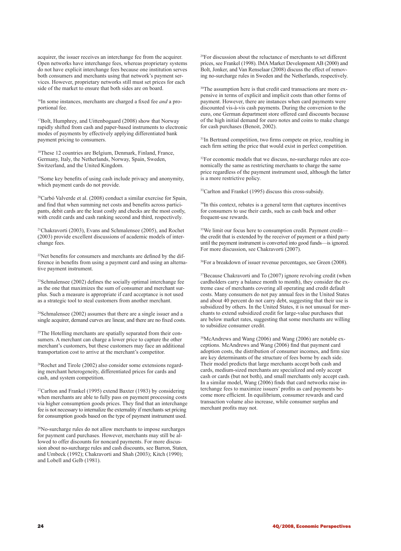acquirer, the issuer receives an interchange fee from the acquirer. Open networks have interchange fees, whereas proprietary systems do not have explicit interchange fees because one institution serves both consumers and merchants using that network's payment services. However, proprietary networks still must set prices for each side of the market to ensure that both sides are on board.

16In some instances, merchants are charged a fixed fee *and* a proportional fee.

17Bolt, Humphrey, and Uittenbogaard (2008) show that Norway rapidly shifted from cash and paper-based instruments to electronic modes of payments by effectively applying differentiated bank payment pricing to consumers.

18These 12 countries are Belgium, Denmark, Finland, France, Germany, Italy, the Netherlands, Norway, Spain, Sweden, Switzerland, and the United Kingdom.

<sup>19</sup>Some key benefits of using cash include privacy and anonymity, which payment cards do not provide.

20Carbó Valverde et al. (2008) conduct a similar exercise for Spain, and find that when summing net costs and benefits across participants, debit cards are the least costly and checks are the most costly, with credit cards and cash ranking second and third, respectively.

21Chakravorti (2003), Evans and Schmalensee (2005), and Rochet (2003) provide excellent discussions of academic models of interchange fees.

 $22$ Net benefits for consumers and merchants are defined by the difference in benefits from using a payment card and using an alternative payment instrument.

<sup>23</sup>Schmalensee (2002) defines the socially optimal interchange fee as the one that maximizes the sum of consumer and merchant surplus. Such a measure is appropriate if card acceptance is not used as a strategic tool to steal customers from another merchant.

24Schmalensee (2002) assumes that there are a single issuer and a single acquirer, demand curves are linear, and there are no fixed costs.

<sup>25</sup>The Hotelling merchants are spatially separated from their consumers. A merchant can charge a lower price to capture the other merchant's customers, but these customers may face an additional transportation cost to arrive at the merchant's competitor.

26Rochet and Tirole (2002) also consider some extensions regarding merchant heterogeneity, differentiated prices for cards and cash, and system competition.

27Carlton and Frankel (1995) extend Baxter (1983) by considering when merchants are able to fully pass on payment processing costs via higher consumption goods prices. They find that an interchange fee is not necessary to internalize the externality if merchants set pricing for consumption goods based on the type of payment instrument used.

28No-surcharge rules do not allow merchants to impose surcharges for payment card purchases. However, merchants may still be allowed to offer discounts for noncard payments. For more discussion about no-surcharge rules and cash discounts, see Barron, Staten, and Umbeck (1992); Chakravorti and Shah (2003); Kitch (1990); and Lobell and Gelb (1981).

29For discussion about the reluctance of merchants to set different prices, see Frankel (1998). IMA Market Development AB (2000) and Bolt, Jonker, and Van Renselaar (2008) discuss the effect of removing no-surcharge rules in Sweden and the Netherlands, respectively.

30The assumption here is that credit card transactions are more expensive in terms of explicit and implicit costs than other forms of payment. However, there are instances when card payments were discounted vis-à-vis cash payments. During the conversion to the euro, one German department store offered card discounts because of the high initial demand for euro notes and coins to make change for cash purchases (Benoit, 2002).

<sup>31</sup>In Bertrand competition, two firms compete on price, resulting in each firm setting the price that would exist in perfect competition.

32For economic models that we discuss, no-surcharge rules are economically the same as restricting merchants to charge the same price regardless of the payment instrument used, although the latter is a more restrictive policy.

<sup>33</sup>Carlton and Frankel (1995) discuss this cross-subsidy.

34In this context, rebates is a general term that captures incentives for consumers to use their cards, such as cash back and other frequent-use rewards.

35We limit our focus here to consumption credit. Payment credit the credit that is extended by the receiver of payment or a third party until the payment instrument is converted into good funds—is ignored. For more discussion, see Chakravorti (2007).

36For a breakdown of issuer revenue percentages, see Green (2008).

37Because Chakravorti and To (2007) ignore revolving credit (when cardholders carry a balance month to month), they consider the extreme case of merchants covering all operating and credit default costs. Many consumers do not pay annual fees in the United States and about 40 percent do not carry debt, suggesting that their use is subsidized by others. In the United States, it is not unusual for merchants to extend subsidized credit for large-value purchases that are below market rates, suggesting that some merchants are willing to subsidize consumer credit.

38McAndrews and Wang (2006) and Wang (2006) are notable exceptions. McAndrews and Wang (2006) find that payment card adoption costs, the distribution of consumer incomes, and firm size are key determinants of the structure of fees borne by each side. Their model predicts that large merchants accept both cash and cards, medium-sized merchants are specialized and only accept cash or cards (but not both), and small merchants only accept cash. In a similar model, Wang (2006) finds that card networks raise interchange fees to maximize issuers' profits as card payments become more efficient. In equilibrium, consumer rewards and card transaction volume also increase, while consumer surplus and merchant profits may not.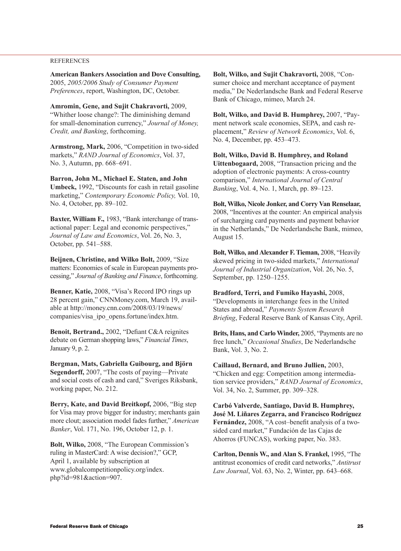### REFERENCES

**American Bankers Association and Dove Consulting,**  2005, *2005/2006 Study of Consumer Payment Preferences*, report, Washington, DC, October.

**Amromin, Gene, and Sujit Chakravorti,** 2009, "Whither loose change?: The diminishing demand for small-denomination currency," *Journal of Money, Credit, and Banking*, forthcoming.

**Armstrong, Mark,** 2006, "Competition in two-sided markets," *RAND Journal of Economics*, Vol. 37, No. 3, Autumn, pp. 668–691.

**Barron, John M., Michael E. Staten, and John Umbeck,** 1992, "Discounts for cash in retail gasoline marketing," *Contemporary Economic Policy,* Vol. 10, No. 4, October, pp. 89–102.

**Baxter, William F.,** 1983, "Bank interchange of transactional paper: Legal and economic perspectives," *Journal of Law and Economics*, Vol. 26, No. 3, October, pp. 541–588.

**Beijnen, Christine, and Wilko Bolt,** 2009, "Size matters: Economies of scale in European payments processing," *Journal of Banking and Finance*, forthcoming.

**Benner, Katie,** 2008, "Visa's Record IPO rings up 28 percent gain," CNNMoney.com, March 19, available at http://money.cnn.com/2008/03/19/news/ companies/visa\_ipo\_opens.fortune/index.htm.

**Benoit, Bertrand.,** 2002, "Defiant C&A reignites debate on German shopping laws," *Financial Times*, January 9, p. 2.

**Bergman, Mats, Gabriella Guibourg, and Björn Segendorff,** 2007, "The costs of paying—Private and social costs of cash and card," Sveriges Riksbank, working paper, No. 212.

**Berry, Kate, and David Breitkopf,** 2006, "Big step for Visa may prove bigger for industry; merchants gain more clout; association model fades further," *American Banker*, Vol. 171, No. 196, October 12, p. 1.

**Bolt, Wilko,** 2008, "The European Commission's ruling in MasterCard: A wise decision?," GCP, April 1, available by subscription at www.globalcompetitionpolicy.org/index. php?id=981&action=907.

**Bolt, Wilko, and Sujit Chakravorti,** 2008, "Consumer choice and merchant acceptance of payment media," De Nederlandsche Bank and Federal Reserve Bank of Chicago, mimeo, March 24.

**Bolt, Wilko, and David B. Humphrey,** 2007, "Payment network scale economies, SEPA, and cash replacement," *Review of Network Economics*, Vol. 6, No. 4, December, pp. 453–473.

**Bolt, Wilko, David B. Humphrey, and Roland Uittenbogaard,** 2008, "Transaction pricing and the adoption of electronic payments: A cross-country comparison," *International Journal of Central Banking*, Vol. 4, No. 1, March, pp. 89–123.

**Bolt, Wilko, Nicole Jonker, and Corry Van Renselaar,** 2008, "Incentives at the counter: An empirical analysis of surcharging card payments and payment behavior in the Netherlands," De Nederlandsche Bank, mimeo, August 15.

**Bolt, Wilko, and Alexander F. Tieman,** 2008, "Heavily skewed pricing in two-sided markets," *International Journal of Industrial Organization*, Vol. 26, No. 5, September, pp. 1250–1255.

**Bradford, Terri, and Fumiko Hayashi,** 2008, "Developments in interchange fees in the United States and abroad," *Payments System Research Briefing*, Federal Reserve Bank of Kansas City, April.

**Brits, Hans, and Carlo Winder,** 2005, "Payments are no free lunch," *Occasional Studies*, De Nederlandsche Bank, Vol. 3, No. 2.

**Caillaud, Bernard, and Bruno Jullien,** 2003, "Chicken and egg: Competition among intermediation service providers," *RAND Journal of Economics*, Vol. 34, No. 2, Summer, pp. 309–328.

**Carbó Valverde, Santiago, David B. Humphrey, José M. Liñares Zegarra, and Francisco Rodríguez Fernández,** 2008, "A cost–benefit analysis of a twosided card market," Fundación de las Cajas de Ahorros (FUNCAS), working paper, No. 383.

**Carlton, Dennis W., and Alan S. Frankel,** 1995, "The antitrust economics of credit card networks," *Antitrust Law Journal*, Vol. 63, No. 2, Winter, pp. 643–668.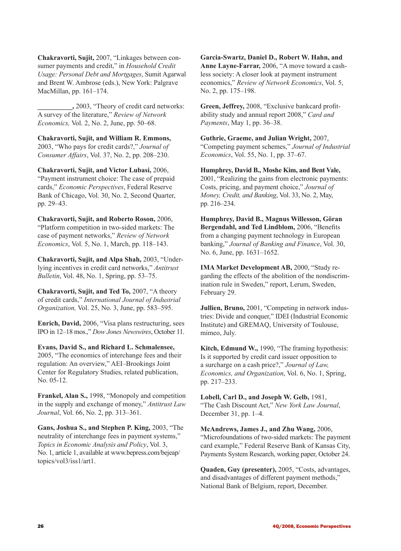**Chakravorti, Sujit,** 2007, "Linkages between consumer payments and credit," in *Household Credit Usage: Personal Debt and Mortgages*, Sumit Agarwal and Brent W. Ambrose (eds.), New York: Palgrave MacMillan, pp. 161–174.

**\_\_\_\_\_\_\_\_\_\_,** 2003, "Theory of credit card networks: A survey of the literature," *Review of Network Economics,* Vol. 2, No. 2, June, pp. 50–68.

**Chakravorti, Sujit, and William R. Emmons,** 2003, "Who pays for credit cards?," *Journal of Consumer Affairs*, Vol. 37, No. 2, pp. 208–230.

**Chakravorti, Sujit, and Victor Lubasi,** 2006, "Payment instrument choice: The case of prepaid cards," *Economic Perspectives*, Federal Reserve Bank of Chicago, Vol. 30, No. 2, Second Quarter, pp. 29–43.

**Chakravorti, Sujit, and Roberto Roson,** 2006, "Platform competition in two-sided markets: The case of payment networks," *Review of Network Economics*, Vol. 5, No. 1, March, pp. 118–143.

**Chakravorti, Sujit, and Alpa Shah,** 2003, "Underlying incentives in credit card networks," *Antitrust Bulletin*, Vol. 48, No. 1, Spring, pp. 53–75.

**Chakravorti, Sujit, and Ted To,** 2007, "A theory of credit cards," *International Journal of Industrial Organization,* Vol. 25, No. 3, June, pp. 583–595.

**Enrich, David,** 2006, "Visa plans restructuring, sees IPO in 12–18 mos.," *Dow Jones Newswires*, October 11.

**Evans, David S., and Richard L. Schmalensee,**  2005, "The economics of interchange fees and their regulation: An overview," AEI–Brookings Joint Center for Regulatory Studies, related publication, No. 05-12.

**Frankel, Alan S.,** 1998, "Monopoly and competition in the supply and exchange of money," *Antitrust Law Journal*, Vol. 66, No. 2, pp. 313–361.

**Gans, Joshua S., and Stephen P. King,** 2003, "The neutrality of interchange fees in payment systems," *Topics in Economic Analysis and Policy*, Vol. 3, No. 1, article 1, available at www.bepress.com/bejeap/ topics/vol3/iss1/art1.

**Garcia-Swartz, Daniel D., Robert W. Hahn, and Anne Layne-Farrar,** 2006, "A move toward a cashless society: A closer look at payment instrument economics," *Review of Network Economics*, Vol. 5, No. 2, pp. 175–198.

**Green, Jeffrey,** 2008, "Exclusive bankcard profitability study and annual report 2008," *Card and Payments*, May 1, pp. 36–38.

**Guthrie, Graeme, and Julian Wright,** 2007, "Competing payment schemes," *Journal of Industrial Economics*, Vol. 55, No. 1, pp. 37–67.

**Humphrey, David B., Moshe Kim, and Bent Vale,** 2001, "Realizing the gains from electronic payments: Costs, pricing, and payment choice," *Journal of Money, Credit, and Banking*, Vol. 33, No. 2, May, pp. 216–234.

**Humphrey, David B., Magnus Willesson, Göran Bergendahl, and Ted Lindblom,** 2006, "Benefits from a changing payment technology in European banking," *Journal of Banking and Finance*, Vol. 30, No. 6, June, pp. 1631–1652.

**IMA Market Development AB,** 2000, "Study regarding the effects of the abolition of the nondiscrimination rule in Sweden," report, Lerum, Sweden, February 29.

**Jullien, Bruno,** 2001, "Competing in network industries: Divide and conquer," IDEI (Industrial Economic Institute) and GREMAQ, University of Toulouse, mimeo, July.

**Kitch, Edmund W.,** 1990, "The framing hypothesis: Is it supported by credit card issuer opposition to a surcharge on a cash price?," *Journal of Law, Economics, and Organization*, Vol. 6, No. 1, Spring, pp. 217–233.

**Lobell, Carl D., and Joseph W. Gelb,** 1981, "The Cash Discount Act," *New York Law Journal*, December 31, pp. 1–4.

**McAndrews, James J., and Zhu Wang,** 2006, "Microfoundations of two-sided markets: The payment card example," Federal Reserve Bank of Kansas City, Payments System Research, working paper, October 24.

**Quaden, Guy (presenter),** 2005, "Costs, advantages, and disadvantages of different payment methods," National Bank of Belgium, report, December.